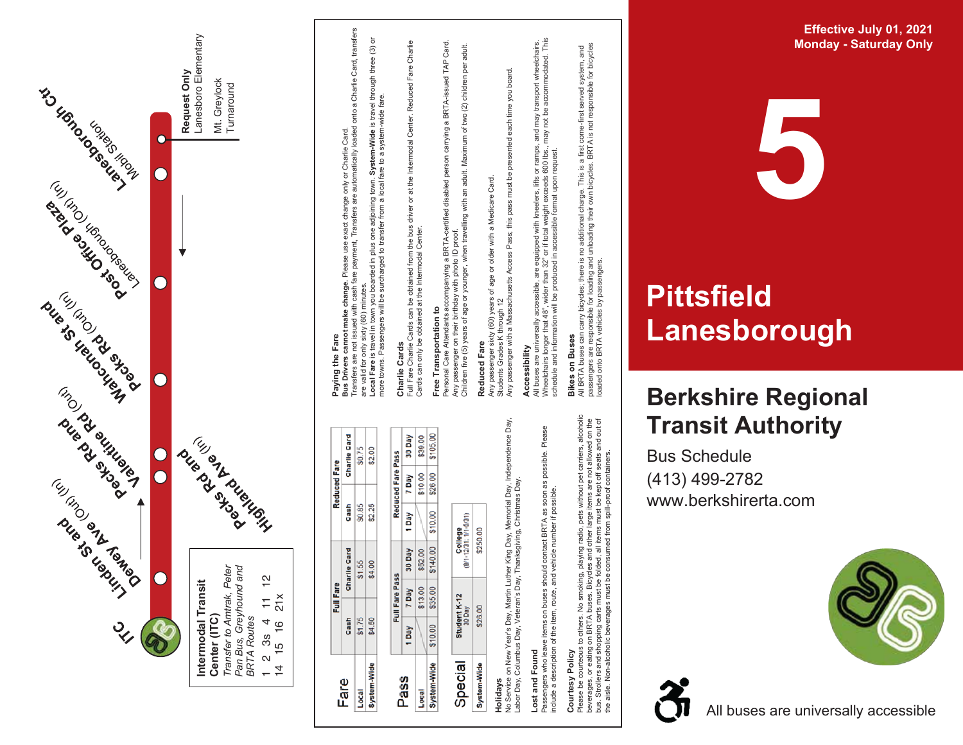

**Eff e c tiv e July 01 , 2 0 2 1 Monday - Saturday Only** 

## **Pittsfield** Lanesborough

**5** 

## **Berkshire Regional T ransit Au t hority**

Bu s S c hedule (413) 4 9 9 -2782 www.berkshirerta.com